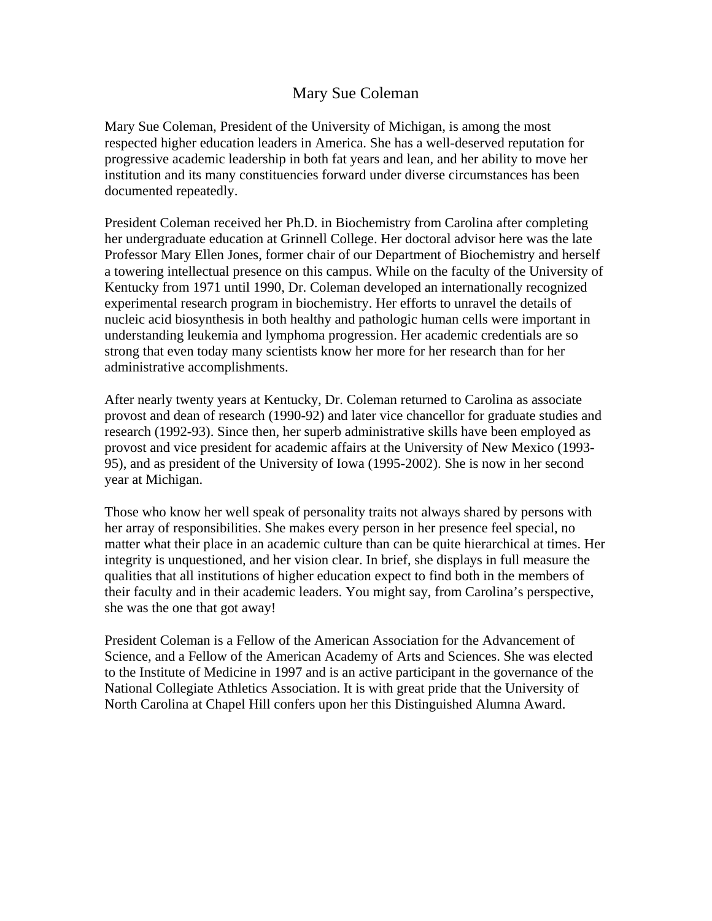## Mary Sue Coleman

Mary Sue Coleman, President of the University of Michigan, is among the most respected higher education leaders in America. She has a well-deserved reputation for progressive academic leadership in both fat years and lean, and her ability to move her institution and its many constituencies forward under diverse circumstances has been documented repeatedly.

President Coleman received her Ph.D. in Biochemistry from Carolina after completing her undergraduate education at Grinnell College. Her doctoral advisor here was the late Professor Mary Ellen Jones, former chair of our Department of Biochemistry and herself a towering intellectual presence on this campus. While on the faculty of the University of Kentucky from 1971 until 1990, Dr. Coleman developed an internationally recognized experimental research program in biochemistry. Her efforts to unravel the details of nucleic acid biosynthesis in both healthy and pathologic human cells were important in understanding leukemia and lymphoma progression. Her academic credentials are so strong that even today many scientists know her more for her research than for her administrative accomplishments.

After nearly twenty years at Kentucky, Dr. Coleman returned to Carolina as associate provost and dean of research (1990-92) and later vice chancellor for graduate studies and research (1992-93). Since then, her superb administrative skills have been employed as provost and vice president for academic affairs at the University of New Mexico (1993- 95), and as president of the University of Iowa (1995-2002). She is now in her second year at Michigan.

Those who know her well speak of personality traits not always shared by persons with her array of responsibilities. She makes every person in her presence feel special, no matter what their place in an academic culture than can be quite hierarchical at times. Her integrity is unquestioned, and her vision clear. In brief, she displays in full measure the qualities that all institutions of higher education expect to find both in the members of their faculty and in their academic leaders. You might say, from Carolina's perspective, she was the one that got away!

President Coleman is a Fellow of the American Association for the Advancement of Science, and a Fellow of the American Academy of Arts and Sciences. She was elected to the Institute of Medicine in 1997 and is an active participant in the governance of the National Collegiate Athletics Association. It is with great pride that the University of North Carolina at Chapel Hill confers upon her this Distinguished Alumna Award.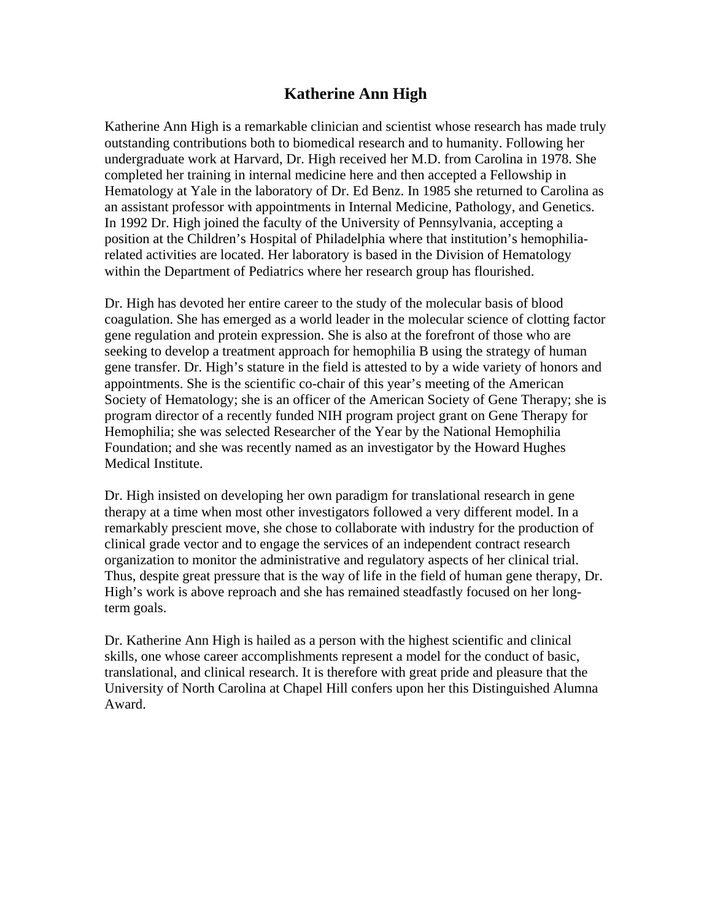## **Katherine Ann High**

Katherine Ann High is a remarkable clinician and scientist whose research has made truly outstanding contributions both to biomedical research and to humanity. Following her undergraduate work at Harvard, Dr. High received her M.D. from Carolina in 1978. She completed her training in internal medicine here and then accepted a Fellowship in Hematology at Yale in the laboratory of Dr. Ed Benz. In 1985 she returned to Carolina as an assistant professor with appointments in Internal Medicine, Pathology, and Genetics. In 1992 Dr. High joined the faculty of the University of Pennsylvania, accepting a position at the Children's Hospital of Philadelphia where that institution's hemophiliarelated activities are located. Her laboratory is based in the Division of Hematology within the Department of Pediatrics where her research group has flourished.

Dr. High has devoted her entire career to the study of the molecular basis of blood coagulation. She has emerged as a world leader in the molecular science of clotting factor gene regulation and protein expression. She is also at the forefront of those who are seeking to develop a treatment approach for hemophilia B using the strategy of human gene transfer. Dr. High's stature in the field is attested to by a wide variety of honors and appointments. She is the scientific co-chair of this year's meeting of the American Society of Hematology; she is an officer of the American Society of Gene Therapy; she is program director of a recently funded NIH program project grant on Gene Therapy for Hemophilia; she was selected Researcher of the Year by the National Hemophilia Foundation; and she was recently named as an investigator by the Howard Hughes Medical Institute.

Dr. High insisted on developing her own paradigm for translational research in gene therapy at a time when most other investigators followed a very different model. In a remarkably prescient move, she chose to collaborate with industry for the production of clinical grade vector and to engage the services of an independent contract research organization to monitor the administrative and regulatory aspects of her clinical trial. Thus, despite great pressure that is the way of life in the field of human gene therapy, Dr. High's work is above reproach and she has remained steadfastly focused on her longterm goals.

Dr. Katherine Ann High is hailed as a person with the highest scientific and clinical skills, one whose career accomplishments represent a model for the conduct of basic, translational, and clinical research. It is therefore with great pride and pleasure that the University of North Carolina at Chapel Hill confers upon her this Distinguished Alumna Award.